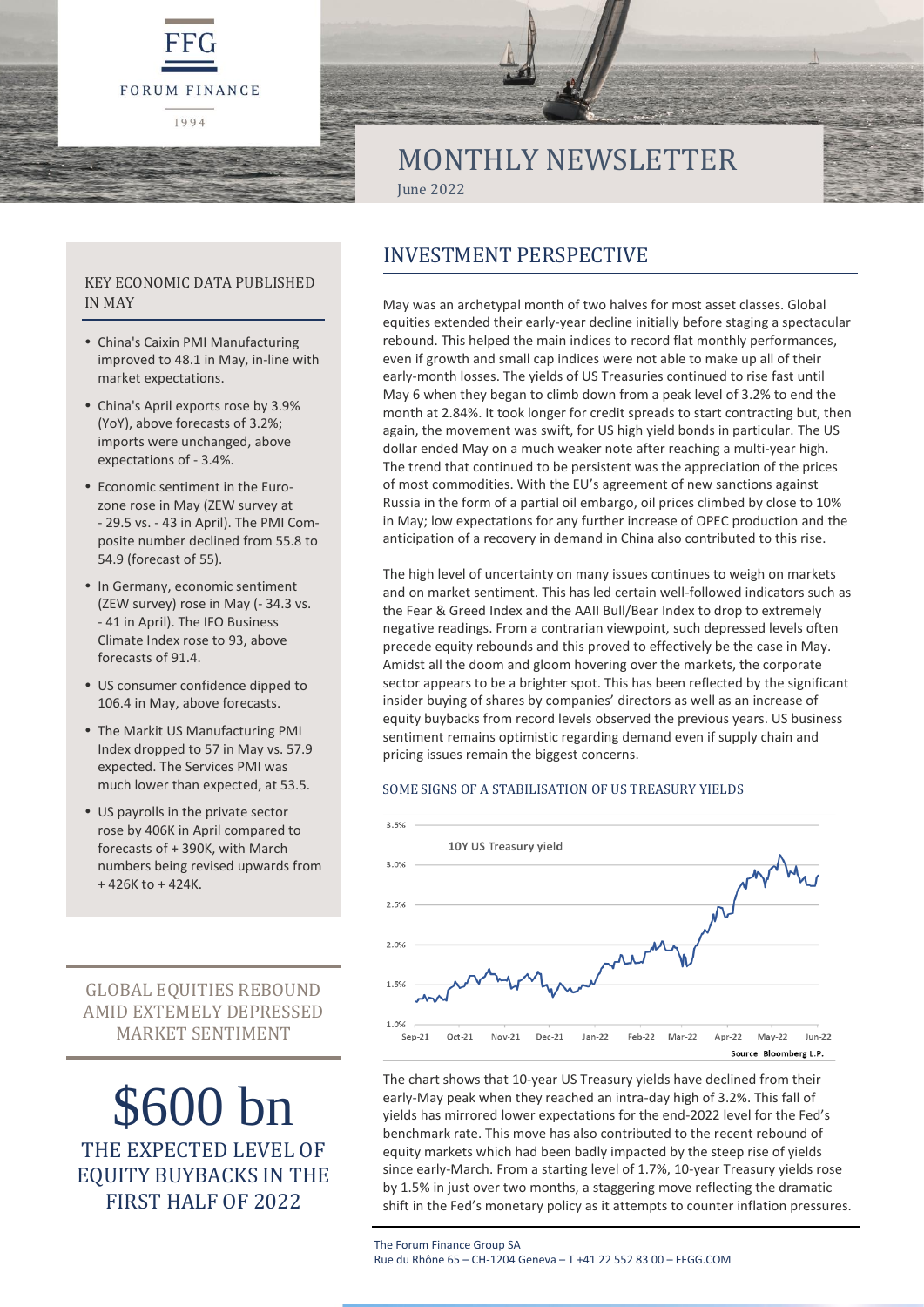



# MONTHLY NEWSLETTER June 2022

KEY ECONOMIC DATA PUBLISHED IN MAY

- China's Caixin PMI Manufacturing improved to 48.1 in May, in-line with market expectations.
- China's April exports rose by 3.9% (YoY), above forecasts of 3.2%; imports were unchanged, above expectations of - 3.4%.
- Economic sentiment in the Eurozone rose in May (ZEW survey at - 29.5 vs. - 43 in April). The PMI Composite number declined from 55.8 to 54.9 (forecast of 55).
- In Germany, economic sentiment (ZEW survey) rose in May (- 34.3 vs. - 41 in April). The IFO Business Climate Index rose to 93, above forecasts of 91.4.
- US consumer confidence dipped to 106.4 in May, above forecasts.
- The Markit US Manufacturing PMI Index dropped to 57 in May vs. 57.9 expected. The Services PMI was much lower than expected, at 53.5.
- US payrolls in the private sector rose by 406K in April compared to forecasts of + 390K, with March numbers being revised upwards from + 426K to + 424K.

GLOBAL EQUITIES REBOUND AMID EXTEMELY DEPRESSED MARKET SENTIMENT

\$600 bn THE EXPECTED LEVEL OF EQUITY BUYBACKS IN THE FIRST HALF OF 2022

# INVESTMENT PERSPECTIVE

May was an archetypal month of two halves for most asset classes. Global equities extended their early-year decline initially before staging a spectacular rebound. This helped the main indices to record flat monthly performances, even if growth and small cap indices were not able to make up all of their early-month losses. The yields of US Treasuries continued to rise fast until May 6 when they began to climb down from a peak level of 3.2% to end the month at 2.84%. It took longer for credit spreads to start contracting but, then again, the movement was swift, for US high yield bonds in particular. The US dollar ended May on a much weaker note after reaching a multi-year high. The trend that continued to be persistent was the appreciation of the prices of most commodities. With the EU's agreement of new sanctions against Russia in the form of a partial oil embargo, oil prices climbed by close to 10% in May; low expectations for any further increase of OPEC production and the anticipation of a recovery in demand in China also contributed to this rise.

The high level of uncertainty on many issues continues to weigh on markets and on market sentiment. This has led certain well-followed indicators such as the Fear & Greed Index and the AAII Bull/Bear Index to drop to extremely negative readings. From a contrarian viewpoint, such depressed levels often precede equity rebounds and this proved to effectively be the case in May. Amidst all the doom and gloom hovering over the markets, the corporate sector appears to be a brighter spot. This has been reflected by the significant insider buying of shares by companies' directors as well as an increase of equity buybacks from record levels observed the previous years. US business sentiment remains optimistic regarding demand even if supply chain and pricing issues remain the biggest concerns.

#### SOME SIGNS OF A STABILISATION OF US TREASURY YIELDS



The chart shows that 10-year US Treasury yields have declined from their early-May peak when they reached an intra-day high of 3.2%. This fall of yields has mirrored lower expectations for the end-2022 level for the Fed's benchmark rate. This move has also contributed to the recent rebound of equity markets which had been badly impacted by the steep rise of yields since early-March. From a starting level of 1.7%, 10-year Treasury yields rose by 1.5% in just over two months, a staggering move reflecting the dramatic shift in the Fed's monetary policy as it attempts to counter inflation pressures.